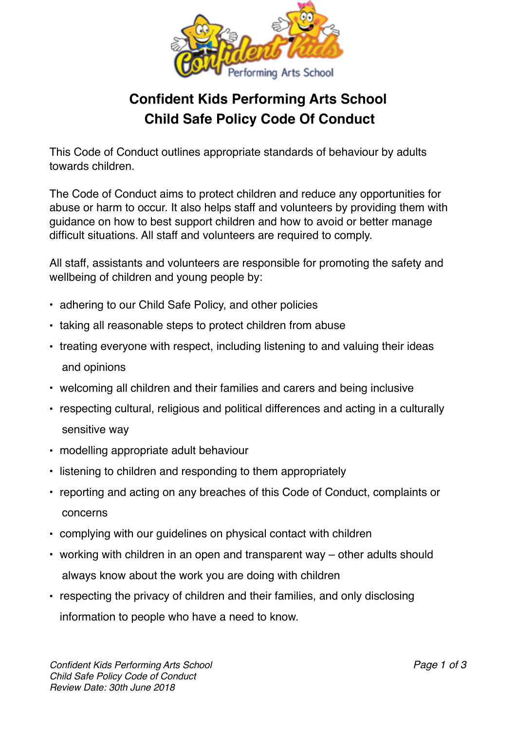

## **Confident Kids Performing Arts School Child Safe Policy Code Of Conduct**

This Code of Conduct outlines appropriate standards of behaviour by adults towards children.

The Code of Conduct aims to protect children and reduce any opportunities for abuse or harm to occur. It also helps staff and volunteers by providing them with guidance on how to best support children and how to avoid or better manage difficult situations. All staff and volunteers are required to comply.

All staff, assistants and volunteers are responsible for promoting the safety and wellbeing of children and young people by:

- adhering to our Child Safe Policy, and other policies
- taking all reasonable steps to protect children from abuse
- treating everyone with respect, including listening to and valuing their ideas and opinions
- welcoming all children and their families and carers and being inclusive
- respecting cultural, religious and political differences and acting in a culturally sensitive way
- modelling appropriate adult behaviour
- listening to children and responding to them appropriately
- reporting and acting on any breaches of this Code of Conduct, complaints or concerns
- complying with our guidelines on physical contact with children
- working with children in an open and transparent way other adults should always know about the work you are doing with children
- respecting the privacy of children and their families, and only disclosing information to people who have a need to know.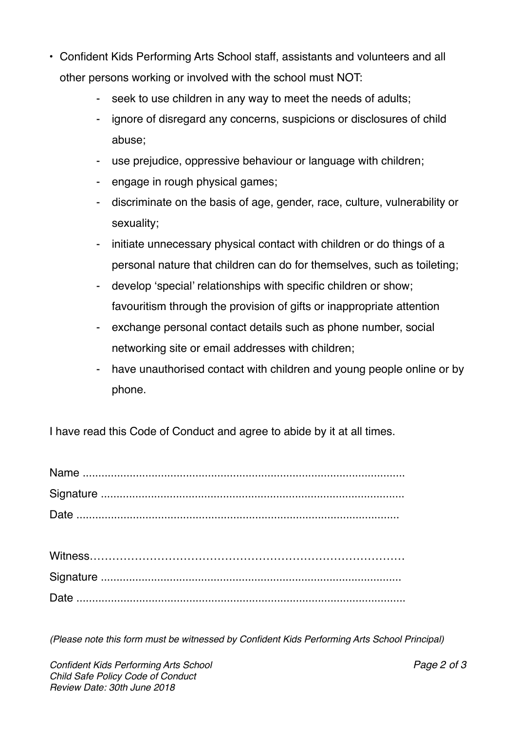- Confident Kids Performing Arts School staff, assistants and volunteers and all other persons working or involved with the school must NOT:
	- seek to use children in any way to meet the needs of adults;
	- ignore of disregard any concerns, suspicions or disclosures of child abuse;
	- use prejudice, oppressive behaviour or language with children;
	- engage in rough physical games;
	- discriminate on the basis of age, gender, race, culture, vulnerability or sexuality;
	- initiate unnecessary physical contact with children or do things of a personal nature that children can do for themselves, such as toileting;
	- develop 'special' relationships with specific children or show; favouritism through the provision of gifts or inappropriate attention
	- exchange personal contact details such as phone number, social networking site or email addresses with children;
	- have unauthorised contact with children and young people online or by phone.

I have read this Code of Conduct and agree to abide by it at all times.

*(Please note this form must be witnessed by Confident Kids Performing Arts School Principal)*